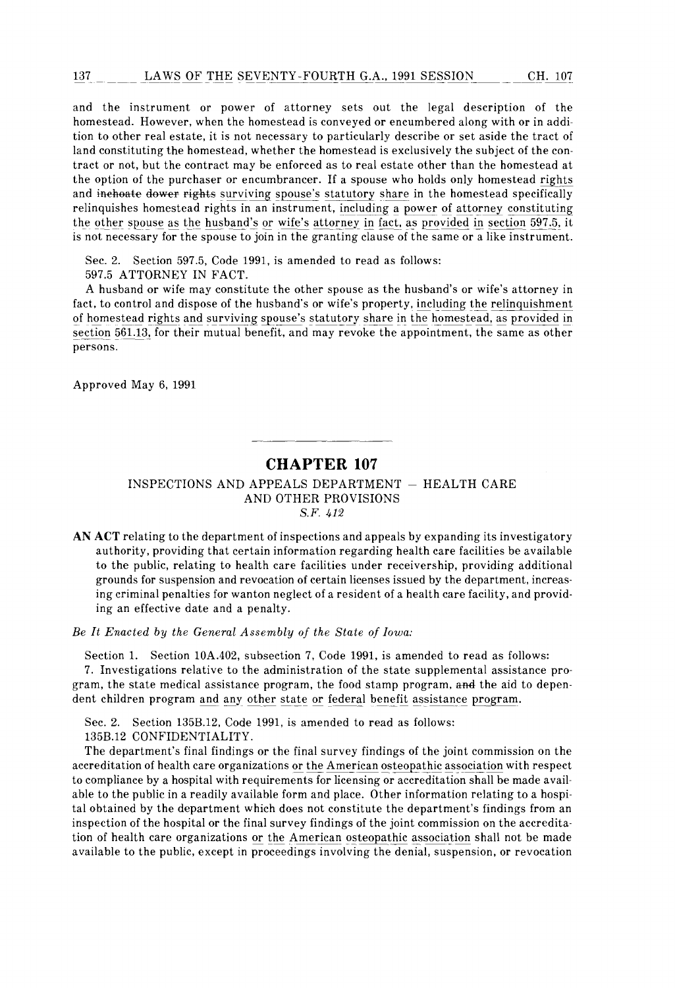and the instrument or power of attorney sets out the legal description of the homestead. However, when the homestead is conveyed or encumbered along with or in addition to other real estate, it is not necessary to particularly describe or set aside the tract of land constituting the homestead, whether the homestead is exclusively the subject of the contract or not, but the contract may be enforced as to real estate other than the homestead at the option of the purchaser or encumbrancer. If a spouse who holds only homestead rights and inchoate dower rights surviving spouse's statutory share in the homestead specifically relinquishes homestead rights in an instrument, including a power of attorney constituting the other spouse as the husband's or wife's attorney in fact, as provided in section 597.5, it is not necessary for the spouse to join in the granting clause of the same or a like instrument.

Sec. 2. Section 597.5, Code 1991, is amended to read as follows: 597.5 ATTORNEY IN FACT.

A husband or wife may constitute the other spouse as the husband's or wife's attorney in fact, to control and dispose of the husband's or wife's property, including the relinquishment of homestead rights and surviving spouse's statutory share in the homestead, as provided in section 561.13, for their mutual benefit, and may revoke the appointment, the same as other persons.

Approved May 6, 1991

## **CHAPTER 107**

INSPECTIONS AND APPEALS DEPARTMENT - HEALTH CARE AND OTHER PROVISIONS S.F. 412

AN ACT relating to the department of inspections and appeals by expanding its investigatory authority, providing that certain information regarding health care facilities be available to the public, relating to health care facilities under receivership, providing additional grounds for suspension and revocation of certain licenses issued by the department, increasing criminal penalties for wanton neglect of a resident of a health care facility, and providing an effective date and a penalty.

Be It Enacted by the General Assembly of the State of Iowa:

Section 1. Section 10A.402, subsection 7, Code 1991, is amended to read as follows: 7. Investigations relative to the administration of the state supplemental assistance program, the state medical assistance program, the food stamp program, and the aid to dependent children program and any other state or federal benefit assistance program.

Sec. 2. Section 135B.12, Code 1991, is amended to read as follows:

135B.12 CONFIDENTIALITY.

The department's final findings or the final survey findings of the joint commission on the accreditation of health care organizations or the American osteopathic association with respect to compliance by a hospital with requirements for licensing or accreditation shall be made available to the public in a readily available form and place. Other information relating to a hospital obtained by the department which does not constitute the department's findings from an inspection of the hospital or the final survey findings of the joint commission on the accreditation of health care organizations or the American osteopathic association shall not be made available to the public, except in proceedings involving the denial, suspension, or revocation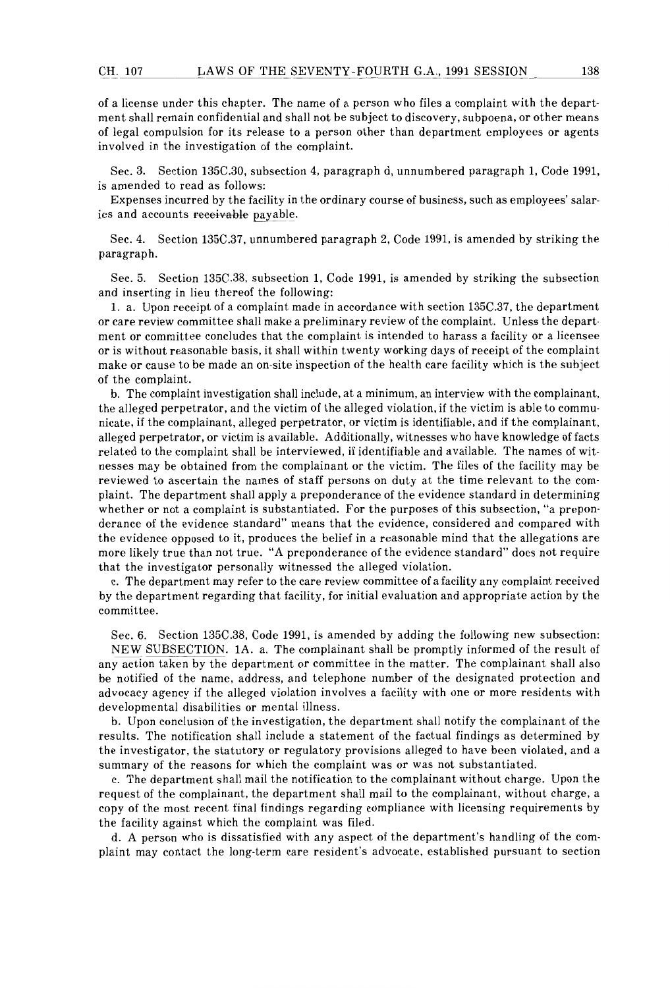of a license under this chapter. The name of a person who files a complaint with the department shall remain confidential and shall not be subject to discovery, subpoena, or other means of legal compulsion for its release to a person other than department employees or agents involved in the investigation of the complaint.

Sec. 3. Section 135C.30, subsection 4, paragraph d, unnumbered paragraph 1, Code 1991, is amended to read as follows:

Expenses incurred by the facility in the ordinary course of business, such as employees' salaries and accounts receivable payable.

Sec. 4. Section 135C.37, unnumbered paragraph 2, Code 1991, is amended by striking the paragraph.

Sec. 5. Section 135C.38, subsection 1, Code 1991, is amended by striking the subsection and inserting in lieu thereof the following:

1. a. Upon receipt of a complaint made in accordance with section 135C.37, the department or care review committee shall make a preliminary review of the complaint. Unless the department or committee concludes that the complaint is intended to harass a facility or a licensee or is without reasonable basis, it shall within twenty working days of receipt of the complaint make or cause to be made an on-site inspection of the health care facility which is the subject of the complaint.

b. The complaint investigation shall include, at a minimum, an interview with the complainant, the alleged perpetrator, and the victim of the alleged violation, if the victim is able to communicate, if the complainant, alleged perpetrator, or victim is identifiable, and if the complainant, alleged perpetrator, or victim is available. Additionally, witnesses who have knowledge of facts related to the complaint shall be interviewed, if identifiable and available. The names of witnesses may be obtained from the complainant or the victim. The files of the facility may be reviewed to ascertain the names of staff persons on duty at the time relevant to the complaint. The department shall apply a preponderance of the evidence standard in determining whether or not a complaint is substantiated. For the purposes of this subsection, "a preponderance of the evidence standard" means that the evidence, considered and compared with the evidence opposed to it, produces the belief in a reasonable mind that the allegations are more likely true than not true. "A preponderance of the evidence standard" does not require that the investigator personally witnessed the alleged violation.

c. The department may refer to the care review committee of a facility any complaint received by the department regarding that facility, for initial evaluation and appropriate action by the committee.

Sec. 6. Section 135C.38, Code 1991, is amended by adding the following new subsection: NEW SUBSECTION. 1A. a. The complainant shall be promptly informed of the result of any action taken by the department or committee in the matter. The complainant shall also be notified of the name, address, and telephone number of the designated protection and advocacy agency if the alleged violation involves a facility with one or more residents with developmental disabilities or mental illness.

b. Upon conclusion of the investigation, the department shall notify the complainant of the results. The notification shall include a statement of the factual findings as determined by the investigator, the statutory or regulatory provisions alleged to have been violated, and a summary of the reasons for which the complaint was or was not substantiated.

c. The department shall mail the notification to the complainant without charge. Upon the request of the complainant, the department shall mail to the complainant, without charge, a copy of the most recent final findings regarding compliance with licensing requirements by the facility against which the complaint was filed.

d. A person who is dissatisfied with any aspect of the department's handling of the complaint may contact the long-term care resident's advocate, established pursuant to section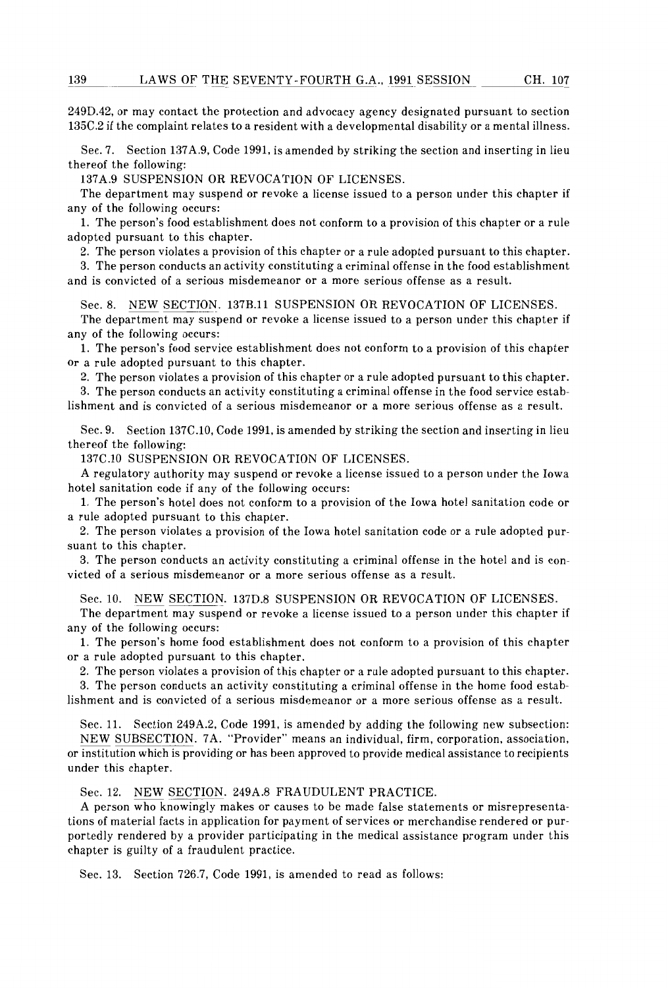249D.42, or may contact the protection and advocacy agency designated pursuant to section 135C.2 if the complaint relates to a resident with a developmental disability or a mental illness.

Sec. 7. Section 137A.9, Code 1991, is amended by striking the section and inserting in lieu thereof the following:

137A.9 SUSPENSION OR REVOCATION OF LICENSES.

The department may suspend or revoke a license issued to a person under this chapter if any of the following occurs:

1. The person's food establishment does not conform to a provision of this chapter or a rule adopted pursuant to this chapter.

2. The person violates a provision of this chapter or a rule adopted pursuant to this chapter.

3. The person conducts an activity constituting a criminal offense in the food establishment and is convicted of a serious misdemeanor or a more serious offense as a result.

Sec. 8. NEW SECTION. 137B.ll SUSPENSION OR REVOCATION OF LICENSES. The department may suspend or revoke a license issued to a person under this chapter if any of the following occurs:

1. The person's food service establishment does not conform to a provision of this chapter or a rule adopted pursuant to this chapter.

2. The person violates a provision of this chapter or a rule adopted pursuant to this chapter.

3. The person conducts an activity constituting a criminal offense in the food service establishment and is convicted of a serious misdemeanor or a more serious offense as a result.

Sec. 9. Section 137C.10, Code 1991, is amended by striking the section and inserting in lieu thereof the following:

137C.10 SUSPENSION OR REVOCATION OF LICENSES.

A regulatory authority may suspend or revoke a license issued to a person under the Iowa hotel sanitation code if any of the following occurs:

1. The person's hotel does not conform to a provision of the Iowa hotel sanitation code or a rule adopted pursuant to this chapter.

2. The person violates a provision of the Iowa hotel sanitation code or a rule adopted pursuant to this chapter.

3. The person conducts an activity constituting a criminal offense in the hotel and is convicted of a serious misdemeanor or a more serious offense as a result.

Sec. 10. NEW SECTION. 137D.8 SUSPENSION OR REVOCATION OF LICENSES.

The department may suspend or revoke a license issued to a person under this chapter if any of the following occurs:

1. The person's home food establishment does not conform to a provision of this chapter or a rule adopted pursuant to this chapter.

2. The person violates a provision of this chapter or a rule adopted pursuant to this chapter.

3. The person conducts an activity constituting a criminal offense in the home food establishment and is convicted of a serious misdemeanor or a more serious offense as a result.

Sec. 11. Section 249A.2, Code 1991, is amended by adding the following new subsection: NEW SUBSECTION. 7A. "Provider" means an individual, firm, corporation, association, or institution which is providing or has been approved to provide medical assistance to recipients under this chapter.

Sec. 12. NEW SECTION. 249A.8 FRAUDULENT PRACTICE.

A person who knowingly makes or causes to be made false statements or misrepresentations of material facts in application for payment of services or merchandise rendered or purportedly rendered by a provider participating in the medical assistance program under this chapter is guilty of a fraudulent practice.

Sec. 13. Section 726.7, Code 1991, is amended to read as follows: